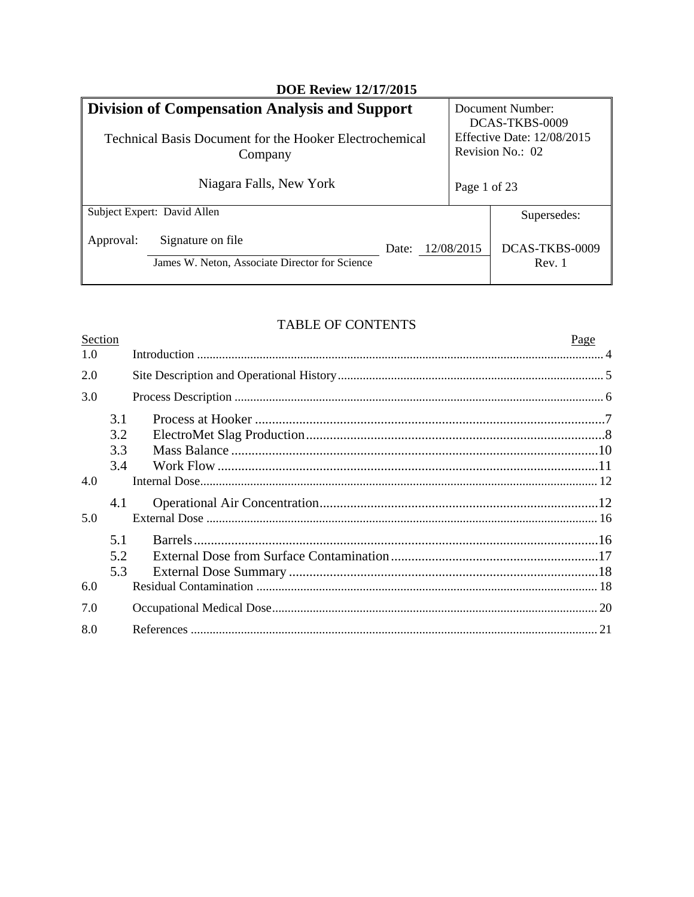| <b>DOE Review 12/17/2015</b>                                                     |       |                                                       |                                    |
|----------------------------------------------------------------------------------|-------|-------------------------------------------------------|------------------------------------|
| <b>Division of Compensation Analysis and Support</b>                             |       |                                                       | Document Number:<br>DCAS-TKBS-0009 |
| Technical Basis Document for the Hooker Electrochemical<br>Company               |       | <b>Effective Date: 12/08/2015</b><br>Revision No.: 02 |                                    |
| Niagara Falls, New York                                                          |       | Page 1 of 23                                          |                                    |
| Subject Expert: David Allen                                                      |       |                                                       | Supersedes:                        |
| Signature on file<br>Approval:<br>James W. Neton, Associate Director for Science | Date: | 12/08/2015                                            | DCAS-TKBS-0009<br>Rev. 1           |

## TABLE OF CONTENTS

 $\mathbf{r}$ 

 $\overline{a}$ 

| Section |            | Page |  |
|---------|------------|------|--|
| 1.0     |            |      |  |
| 2.0     |            |      |  |
| 3.0     |            |      |  |
|         | 3.1<br>3.2 |      |  |
|         | 3.3        |      |  |
|         | 3.4        |      |  |
| 4.0     |            |      |  |
|         | 4.1        |      |  |
| 5.0     |            |      |  |
|         | 5.1        |      |  |
|         | 5.2        |      |  |
|         | 5.3        |      |  |
| 6.0     |            |      |  |
| 7.0     |            |      |  |
| 8.0     |            |      |  |
|         |            |      |  |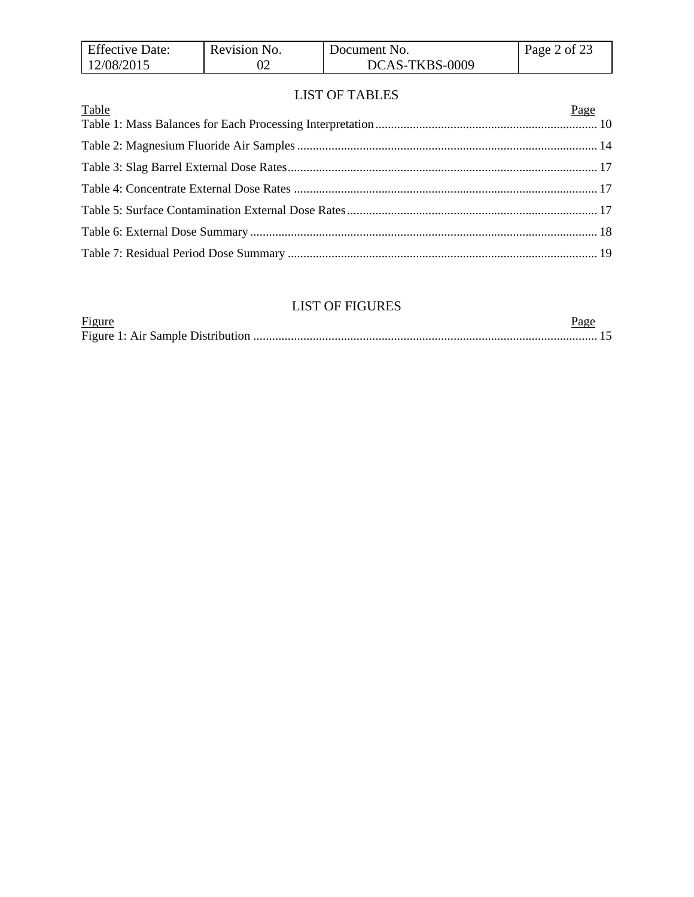| <b>Effective Date:</b> | Revision No. | Document No.   | Page 2 of 23 |
|------------------------|--------------|----------------|--------------|
| 12/08/2015             |              | DCAS-TKBS-0009 |              |

### LIST OF TABLES

## LIST OF FIGURES

| Figure |  |
|--------|--|
|        |  |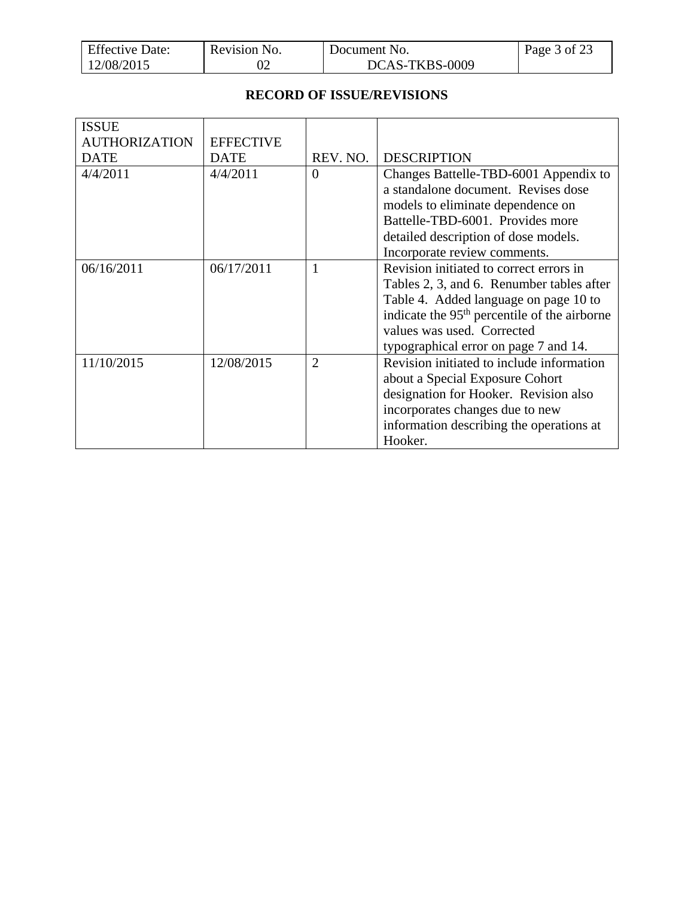| <b>Effective Date:</b> | Revision No. | Document No.   | Page $3$ of 23 |
|------------------------|--------------|----------------|----------------|
| 12/08/2015             |              | DCAS-TKBS-0009 |                |

### **RECORD OF ISSUE/REVISIONS**

| <b>ISSUE</b>         |                  |                |                                                                                                                   |
|----------------------|------------------|----------------|-------------------------------------------------------------------------------------------------------------------|
| <b>AUTHORIZATION</b> | <b>EFFECTIVE</b> |                |                                                                                                                   |
| <b>DATE</b>          | <b>DATE</b>      | REV. NO.       | <b>DESCRIPTION</b>                                                                                                |
| 4/4/2011             | 4/4/2011         | $\Omega$       | Changes Battelle-TBD-6001 Appendix to<br>a standalone document. Revises dose<br>models to eliminate dependence on |
|                      |                  |                | Battelle-TBD-6001. Provides more                                                                                  |
|                      |                  |                | detailed description of dose models.                                                                              |
|                      |                  |                | Incorporate review comments.                                                                                      |
| 06/16/2011           | 06/17/2011       | 1              | Revision initiated to correct errors in                                                                           |
|                      |                  |                | Tables 2, 3, and 6. Renumber tables after                                                                         |
|                      |                  |                | Table 4. Added language on page 10 to                                                                             |
|                      |                  |                | indicate the 95 <sup>th</sup> percentile of the airborne                                                          |
|                      |                  |                | values was used. Corrected                                                                                        |
|                      |                  |                | typographical error on page 7 and 14.                                                                             |
| 11/10/2015           | 12/08/2015       | $\overline{2}$ | Revision initiated to include information                                                                         |
|                      |                  |                | about a Special Exposure Cohort                                                                                   |
|                      |                  |                | designation for Hooker. Revision also                                                                             |
|                      |                  |                | incorporates changes due to new                                                                                   |
|                      |                  |                | information describing the operations at                                                                          |
|                      |                  |                | Hooker.                                                                                                           |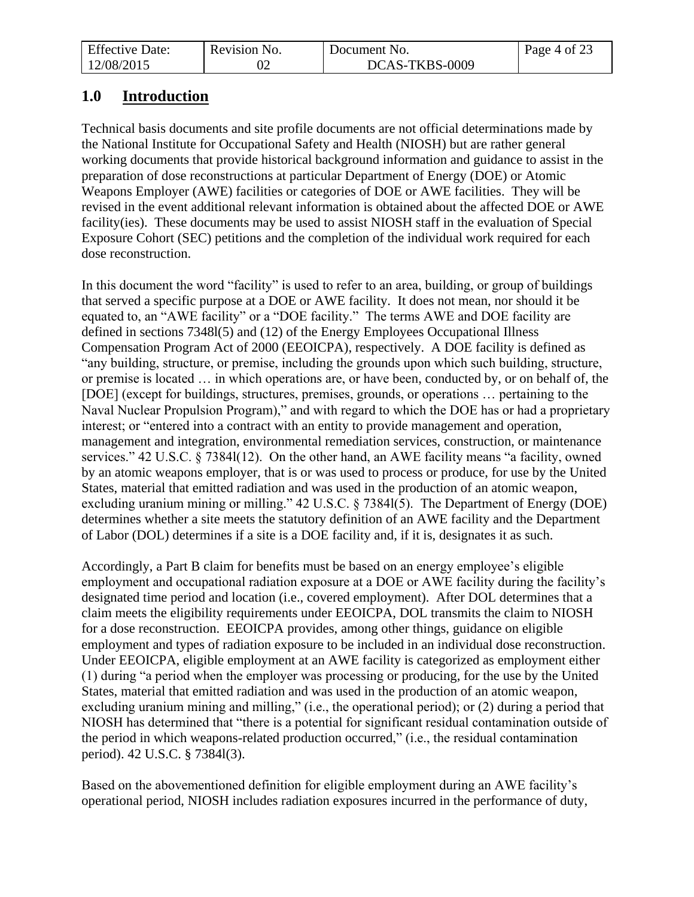| <b>Effective Date:</b> | Revision No. | Document No.   | Page 4 of 23 |
|------------------------|--------------|----------------|--------------|
| 12/08/2015             |              | DCAS-TKBS-0009 |              |

# <span id="page-3-0"></span>**1.0 Introduction**

Technical basis documents and site profile documents are not official determinations made by the National Institute for Occupational Safety and Health (NIOSH) but are rather general working documents that provide historical background information and guidance to assist in the preparation of dose reconstructions at particular Department of Energy (DOE) or Atomic Weapons Employer (AWE) facilities or categories of DOE or AWE facilities. They will be revised in the event additional relevant information is obtained about the affected DOE or AWE facility(ies). These documents may be used to assist NIOSH staff in the evaluation of Special Exposure Cohort (SEC) petitions and the completion of the individual work required for each dose reconstruction.

In this document the word "facility" is used to refer to an area, building, or group of buildings that served a specific purpose at a DOE or AWE facility. It does not mean, nor should it be equated to, an "AWE facility" or a "DOE facility." The terms AWE and DOE facility are defined in sections 7348l(5) and (12) of the Energy Employees Occupational Illness Compensation Program Act of 2000 (EEOICPA), respectively. A DOE facility is defined as "any building, structure, or premise, including the grounds upon which such building, structure, or premise is located … in which operations are, or have been, conducted by, or on behalf of, the [DOE] (except for buildings, structures, premises, grounds, or operations … pertaining to the Naval Nuclear Propulsion Program)," and with regard to which the DOE has or had a proprietary interest; or "entered into a contract with an entity to provide management and operation, management and integration, environmental remediation services, construction, or maintenance services." 42 U.S.C. § 7384l(12). On the other hand, an AWE facility means "a facility, owned by an atomic weapons employer, that is or was used to process or produce, for use by the United States, material that emitted radiation and was used in the production of an atomic weapon, excluding uranium mining or milling." 42 U.S.C. § 7384l(5). The Department of Energy (DOE) determines whether a site meets the statutory definition of an AWE facility and the Department of Labor (DOL) determines if a site is a DOE facility and, if it is, designates it as such.

Accordingly, a Part B claim for benefits must be based on an energy employee's eligible employment and occupational radiation exposure at a DOE or AWE facility during the facility's designated time period and location (i.e., covered employment). After DOL determines that a claim meets the eligibility requirements under EEOICPA, DOL transmits the claim to NIOSH for a dose reconstruction. EEOICPA provides, among other things, guidance on eligible employment and types of radiation exposure to be included in an individual dose reconstruction. Under EEOICPA, eligible employment at an AWE facility is categorized as employment either (1) during "a period when the employer was processing or producing, for the use by the United States, material that emitted radiation and was used in the production of an atomic weapon, excluding uranium mining and milling," (i.e., the operational period); or (2) during a period that NIOSH has determined that "there is a potential for significant residual contamination outside of the period in which weapons-related production occurred," (i.e., the residual contamination period). 42 U.S.C. § 7384l(3).

Based on the abovementioned definition for eligible employment during an AWE facility's operational period, NIOSH includes radiation exposures incurred in the performance of duty,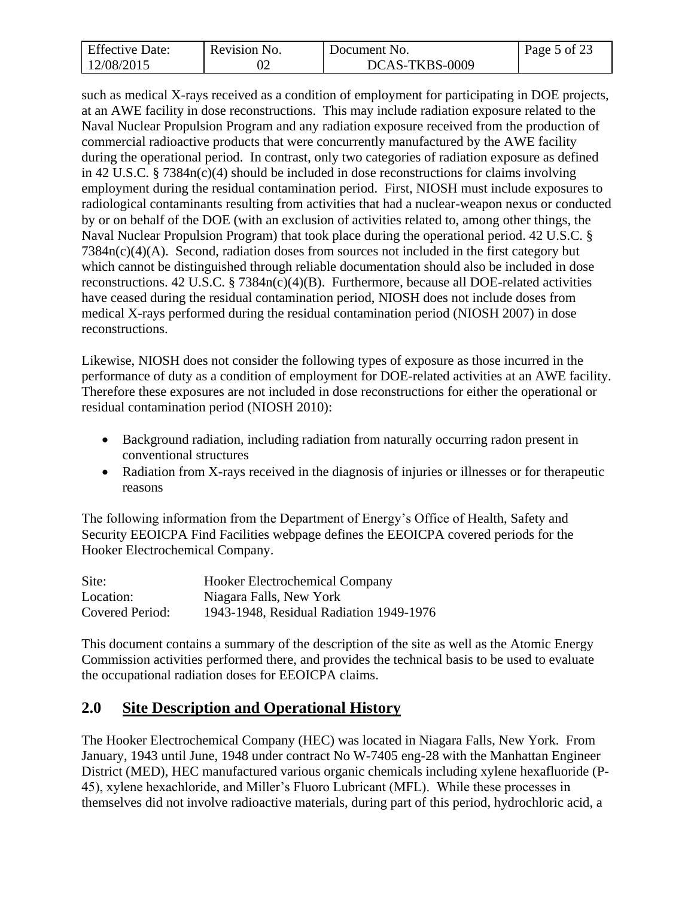| <b>Effective Date:</b> | Revision No. | Document No.   | Page 5 of 23 |
|------------------------|--------------|----------------|--------------|
| 12/08/2015             |              | DCAS-TKBS-0009 |              |

such as medical X-rays received as a condition of employment for participating in DOE projects, at an AWE facility in dose reconstructions. This may include radiation exposure related to the Naval Nuclear Propulsion Program and any radiation exposure received from the production of commercial radioactive products that were concurrently manufactured by the AWE facility during the operational period. In contrast, only two categories of radiation exposure as defined in 42 U.S.C. § 7384n(c)(4) should be included in dose reconstructions for claims involving employment during the residual contamination period. First, NIOSH must include exposures to radiological contaminants resulting from activities that had a nuclear-weapon nexus or conducted by or on behalf of the DOE (with an exclusion of activities related to, among other things, the Naval Nuclear Propulsion Program) that took place during the operational period. 42 U.S.C. § 7384n(c)(4)(A). Second, radiation doses from sources not included in the first category but which cannot be distinguished through reliable documentation should also be included in dose reconstructions. 42 U.S.C. § 7384n(c)(4)(B). Furthermore, because all DOE-related activities have ceased during the residual contamination period, NIOSH does not include doses from medical X-rays performed during the residual contamination period (NIOSH 2007) in dose reconstructions.

Likewise, NIOSH does not consider the following types of exposure as those incurred in the performance of duty as a condition of employment for DOE-related activities at an AWE facility. Therefore these exposures are not included in dose reconstructions for either the operational or residual contamination period (NIOSH 2010):

- Background radiation, including radiation from naturally occurring radon present in conventional structures
- Radiation from X-rays received in the diagnosis of injuries or illnesses or for therapeutic reasons

The following information from the Department of Energy's Office of Health, Safety and Security EEOICPA Find Facilities webpage defines the EEOICPA covered periods for the Hooker Electrochemical Company.

| Site:           | <b>Hooker Electrochemical Company</b>   |
|-----------------|-----------------------------------------|
| Location:       | Niagara Falls, New York                 |
| Covered Period: | 1943-1948, Residual Radiation 1949-1976 |

This document contains a summary of the description of the site as well as the Atomic Energy Commission activities performed there, and provides the technical basis to be used to evaluate the occupational radiation doses for EEOICPA claims.

# <span id="page-4-0"></span>**2.0 Site Description and Operational History**

The Hooker Electrochemical Company (HEC) was located in Niagara Falls, New York. From January, 1943 until June, 1948 under contract No W-7405 eng-28 with the Manhattan Engineer District (MED), HEC manufactured various organic chemicals including xylene hexafluoride (P-45), xylene hexachloride, and Miller's Fluoro Lubricant (MFL). While these processes in themselves did not involve radioactive materials, during part of this period, hydrochloric acid, a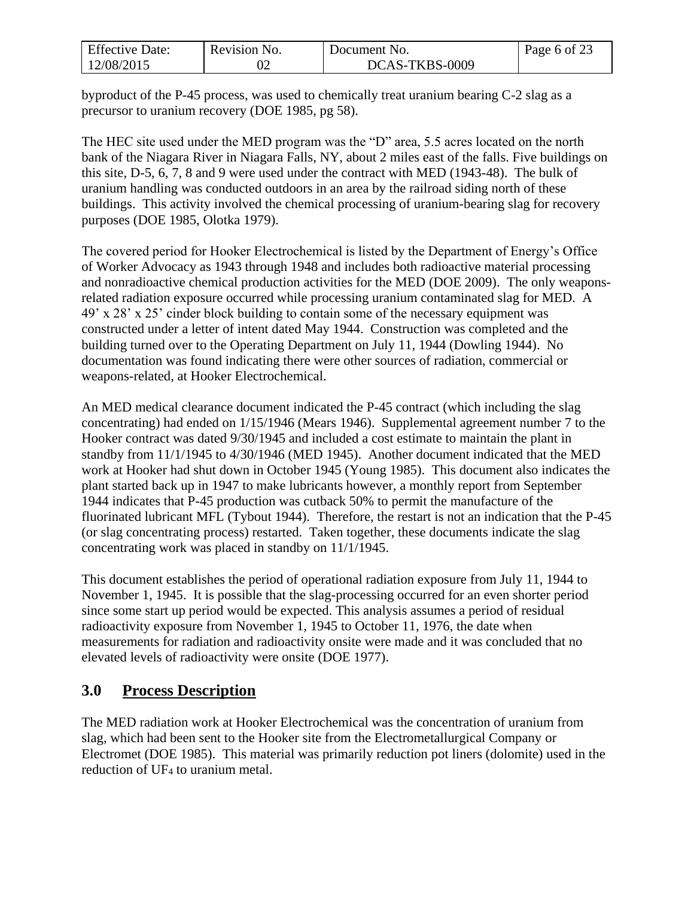| <b>Effective Date:</b> | Revision No. | Document No.   | Page 6 of 23 |
|------------------------|--------------|----------------|--------------|
| 12/08/2015             |              | DCAS-TKBS-0009 |              |

byproduct of the P-45 process, was used to chemically treat uranium bearing C-2 slag as a precursor to uranium recovery (DOE 1985, pg 58).

The HEC site used under the MED program was the "D" area, 5.5 acres located on the north bank of the Niagara River in Niagara Falls, NY, about 2 miles east of the falls. Five buildings on this site, D-5, 6, 7, 8 and 9 were used under the contract with MED (1943-48). The bulk of uranium handling was conducted outdoors in an area by the railroad siding north of these buildings. This activity involved the chemical processing of uranium-bearing slag for recovery purposes (DOE 1985, Olotka 1979).

The covered period for Hooker Electrochemical is listed by the Department of Energy's Office of Worker Advocacy as 1943 through 1948 and includes both radioactive material processing and nonradioactive chemical production activities for the MED (DOE 2009). The only weaponsrelated radiation exposure occurred while processing uranium contaminated slag for MED. A 49' x 28' x 25' cinder block building to contain some of the necessary equipment was constructed under a letter of intent dated May 1944. Construction was completed and the building turned over to the Operating Department on July 11, 1944 (Dowling 1944). No documentation was found indicating there were other sources of radiation, commercial or weapons-related, at Hooker Electrochemical.

An MED medical clearance document indicated the P-45 contract (which including the slag concentrating) had ended on 1/15/1946 (Mears 1946). Supplemental agreement number 7 to the Hooker contract was dated 9/30/1945 and included a cost estimate to maintain the plant in standby from 11/1/1945 to 4/30/1946 (MED 1945). Another document indicated that the MED work at Hooker had shut down in October 1945 (Young 1985). This document also indicates the plant started back up in 1947 to make lubricants however, a monthly report from September 1944 indicates that P-45 production was cutback 50% to permit the manufacture of the fluorinated lubricant MFL (Tybout 1944). Therefore, the restart is not an indication that the P-45 (or slag concentrating process) restarted. Taken together, these documents indicate the slag concentrating work was placed in standby on 11/1/1945.

This document establishes the period of operational radiation exposure from July 11, 1944 to November 1, 1945. It is possible that the slag-processing occurred for an even shorter period since some start up period would be expected. This analysis assumes a period of residual radioactivity exposure from November 1, 1945 to October 11, 1976, the date when measurements for radiation and radioactivity onsite were made and it was concluded that no elevated levels of radioactivity were onsite (DOE 1977).

# <span id="page-5-0"></span>**3.0 Process Description**

The MED radiation work at Hooker Electrochemical was the concentration of uranium from slag, which had been sent to the Hooker site from the Electrometallurgical Company or Electromet (DOE 1985). This material was primarily reduction pot liners (dolomite) used in the reduction of UF<sup>4</sup> to uranium metal.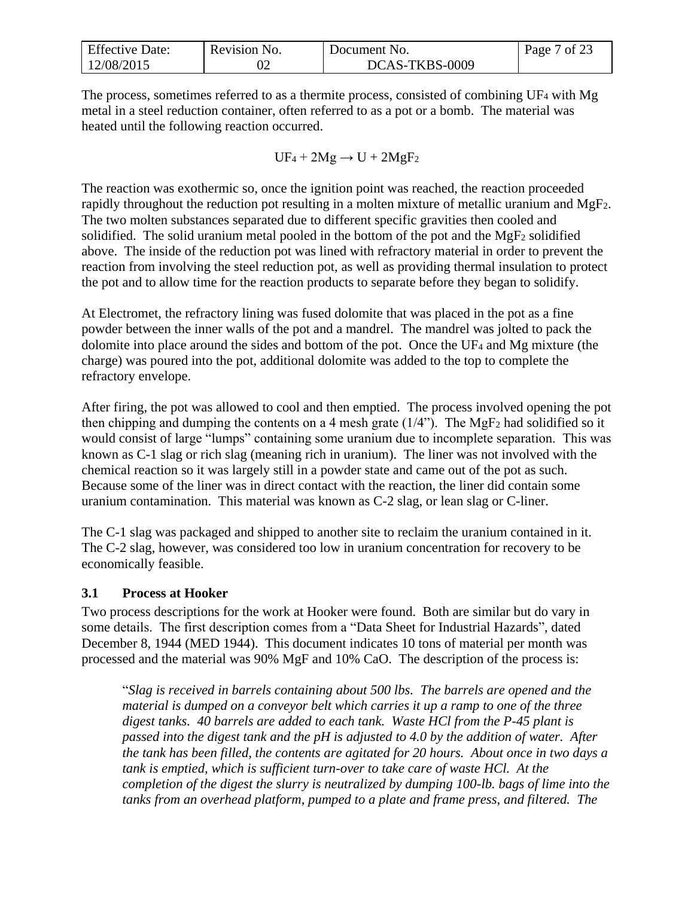| <b>Effective Date:</b> | Revision No. | Document No.   | 7 of 23<br>Page <sup>-</sup> |
|------------------------|--------------|----------------|------------------------------|
| 12/08/2015             |              | DCAS-TKBS-0009 |                              |

The process, sometimes referred to as a thermite process, consisted of combining UF<sup>4</sup> with Mg metal in a steel reduction container, often referred to as a pot or a bomb. The material was heated until the following reaction occurred.

$$
UF_4 + 2Mg \rightarrow U + 2MgF_2
$$

The reaction was exothermic so, once the ignition point was reached, the reaction proceeded rapidly throughout the reduction pot resulting in a molten mixture of metallic uranium and MgF2. The two molten substances separated due to different specific gravities then cooled and solidified. The solid uranium metal pooled in the bottom of the pot and the MgF<sup>2</sup> solidified above. The inside of the reduction pot was lined with refractory material in order to prevent the reaction from involving the steel reduction pot, as well as providing thermal insulation to protect the pot and to allow time for the reaction products to separate before they began to solidify.

At Electromet, the refractory lining was fused dolomite that was placed in the pot as a fine powder between the inner walls of the pot and a mandrel. The mandrel was jolted to pack the dolomite into place around the sides and bottom of the pot. Once the UF<sup>4</sup> and Mg mixture (the charge) was poured into the pot, additional dolomite was added to the top to complete the refractory envelope.

After firing, the pot was allowed to cool and then emptied. The process involved opening the pot then chipping and dumping the contents on a 4 mesh grate  $(1/4)$ . The MgF<sub>2</sub> had solidified so it would consist of large "lumps" containing some uranium due to incomplete separation. This was known as C-1 slag or rich slag (meaning rich in uranium). The liner was not involved with the chemical reaction so it was largely still in a powder state and came out of the pot as such. Because some of the liner was in direct contact with the reaction, the liner did contain some uranium contamination. This material was known as C-2 slag, or lean slag or C-liner.

The C-1 slag was packaged and shipped to another site to reclaim the uranium contained in it. The C-2 slag, however, was considered too low in uranium concentration for recovery to be economically feasible.

### <span id="page-6-0"></span>**3.1 Process at Hooker**

Two process descriptions for the work at Hooker were found. Both are similar but do vary in some details. The first description comes from a "Data Sheet for Industrial Hazards", dated December 8, 1944 (MED 1944). This document indicates 10 tons of material per month was processed and the material was 90% MgF and 10% CaO. The description of the process is:

"*Slag is received in barrels containing about 500 lbs. The barrels are opened and the material is dumped on a conveyor belt which carries it up a ramp to one of the three digest tanks. 40 barrels are added to each tank. Waste HCl from the P-45 plant is passed into the digest tank and the pH is adjusted to 4.0 by the addition of water. After the tank has been filled, the contents are agitated for 20 hours. About once in two days a tank is emptied, which is sufficient turn-over to take care of waste HCl. At the completion of the digest the slurry is neutralized by dumping 100-lb. bags of lime into the tanks from an overhead platform, pumped to a plate and frame press, and filtered. The*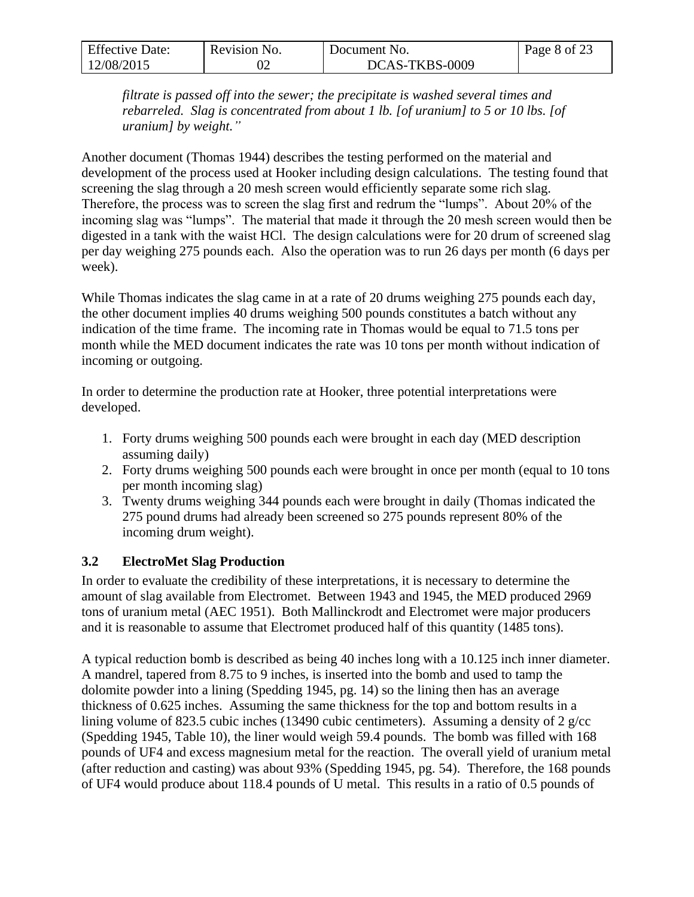| <b>Effective Date:</b> | Revision No. | Document No.   | Page 8 of 23 |
|------------------------|--------------|----------------|--------------|
| 12/08/2015             |              | DCAS-TKBS-0009 |              |

*filtrate is passed off into the sewer; the precipitate is washed several times and rebarreled. Slag is concentrated from about 1 lb. [of uranium] to 5 or 10 lbs. [of uranium] by weight."*

Another document (Thomas 1944) describes the testing performed on the material and development of the process used at Hooker including design calculations. The testing found that screening the slag through a 20 mesh screen would efficiently separate some rich slag. Therefore, the process was to screen the slag first and redrum the "lumps". About 20% of the incoming slag was "lumps". The material that made it through the 20 mesh screen would then be digested in a tank with the waist HCl. The design calculations were for 20 drum of screened slag per day weighing 275 pounds each. Also the operation was to run 26 days per month (6 days per week).

While Thomas indicates the slag came in at a rate of 20 drums weighing 275 pounds each day, the other document implies 40 drums weighing 500 pounds constitutes a batch without any indication of the time frame. The incoming rate in Thomas would be equal to 71.5 tons per month while the MED document indicates the rate was 10 tons per month without indication of incoming or outgoing.

In order to determine the production rate at Hooker, three potential interpretations were developed.

- 1. Forty drums weighing 500 pounds each were brought in each day (MED description assuming daily)
- 2. Forty drums weighing 500 pounds each were brought in once per month (equal to 10 tons per month incoming slag)
- 3. Twenty drums weighing 344 pounds each were brought in daily (Thomas indicated the 275 pound drums had already been screened so 275 pounds represent 80% of the incoming drum weight).

### <span id="page-7-0"></span>**3.2 ElectroMet Slag Production**

In order to evaluate the credibility of these interpretations, it is necessary to determine the amount of slag available from Electromet. Between 1943 and 1945, the MED produced 2969 tons of uranium metal (AEC 1951). Both Mallinckrodt and Electromet were major producers and it is reasonable to assume that Electromet produced half of this quantity (1485 tons).

A typical reduction bomb is described as being 40 inches long with a 10.125 inch inner diameter. A mandrel, tapered from 8.75 to 9 inches, is inserted into the bomb and used to tamp the dolomite powder into a lining (Spedding 1945, pg. 14) so the lining then has an average thickness of 0.625 inches. Assuming the same thickness for the top and bottom results in a lining volume of 823.5 cubic inches (13490 cubic centimeters). Assuming a density of 2 g/cc (Spedding 1945, Table 10), the liner would weigh 59.4 pounds. The bomb was filled with 168 pounds of UF4 and excess magnesium metal for the reaction. The overall yield of uranium metal (after reduction and casting) was about 93% (Spedding 1945, pg. 54). Therefore, the 168 pounds of UF4 would produce about 118.4 pounds of U metal. This results in a ratio of 0.5 pounds of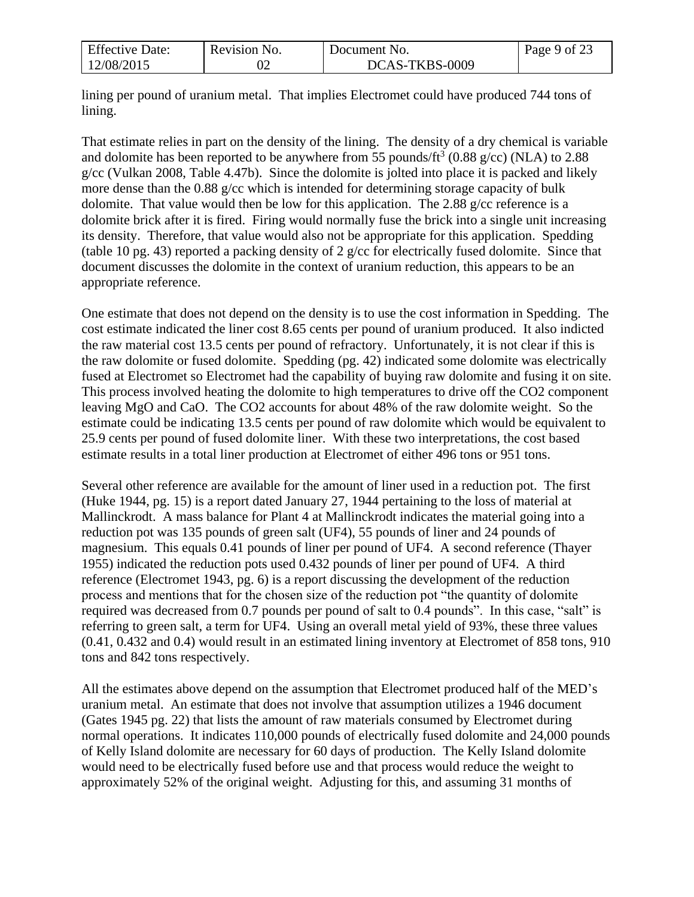| <b>Effective Date:</b> | Revision No. | Document No.   | Page 9 of 23 |
|------------------------|--------------|----------------|--------------|
| 12/08/2015             | ∪∠           | DCAS-TKBS-0009 |              |

lining per pound of uranium metal. That implies Electromet could have produced 744 tons of lining.

That estimate relies in part on the density of the lining. The density of a dry chemical is variable and dolomite has been reported to be anywhere from 55 pounds/ft<sup>3</sup> (0.88 g/cc) (NLA) to 2.88 g/cc (Vulkan 2008, Table 4.47b). Since the dolomite is jolted into place it is packed and likely more dense than the 0.88 g/cc which is intended for determining storage capacity of bulk dolomite. That value would then be low for this application. The 2.88 g/cc reference is a dolomite brick after it is fired. Firing would normally fuse the brick into a single unit increasing its density. Therefore, that value would also not be appropriate for this application. Spedding (table 10 pg. 43) reported a packing density of 2 g/cc for electrically fused dolomite. Since that document discusses the dolomite in the context of uranium reduction, this appears to be an appropriate reference.

One estimate that does not depend on the density is to use the cost information in Spedding. The cost estimate indicated the liner cost 8.65 cents per pound of uranium produced. It also indicted the raw material cost 13.5 cents per pound of refractory. Unfortunately, it is not clear if this is the raw dolomite or fused dolomite. Spedding (pg. 42) indicated some dolomite was electrically fused at Electromet so Electromet had the capability of buying raw dolomite and fusing it on site. This process involved heating the dolomite to high temperatures to drive off the CO2 component leaving MgO and CaO. The CO2 accounts for about 48% of the raw dolomite weight. So the estimate could be indicating 13.5 cents per pound of raw dolomite which would be equivalent to 25.9 cents per pound of fused dolomite liner. With these two interpretations, the cost based estimate results in a total liner production at Electromet of either 496 tons or 951 tons.

Several other reference are available for the amount of liner used in a reduction pot. The first (Huke 1944, pg. 15) is a report dated January 27, 1944 pertaining to the loss of material at Mallinckrodt. A mass balance for Plant 4 at Mallinckrodt indicates the material going into a reduction pot was 135 pounds of green salt (UF4), 55 pounds of liner and 24 pounds of magnesium. This equals 0.41 pounds of liner per pound of UF4. A second reference (Thayer 1955) indicated the reduction pots used 0.432 pounds of liner per pound of UF4. A third reference (Electromet 1943, pg. 6) is a report discussing the development of the reduction process and mentions that for the chosen size of the reduction pot "the quantity of dolomite required was decreased from 0.7 pounds per pound of salt to 0.4 pounds". In this case, "salt" is referring to green salt, a term for UF4. Using an overall metal yield of 93%, these three values (0.41, 0.432 and 0.4) would result in an estimated lining inventory at Electromet of 858 tons, 910 tons and 842 tons respectively.

All the estimates above depend on the assumption that Electromet produced half of the MED's uranium metal. An estimate that does not involve that assumption utilizes a 1946 document (Gates 1945 pg. 22) that lists the amount of raw materials consumed by Electromet during normal operations. It indicates 110,000 pounds of electrically fused dolomite and 24,000 pounds of Kelly Island dolomite are necessary for 60 days of production. The Kelly Island dolomite would need to be electrically fused before use and that process would reduce the weight to approximately 52% of the original weight. Adjusting for this, and assuming 31 months of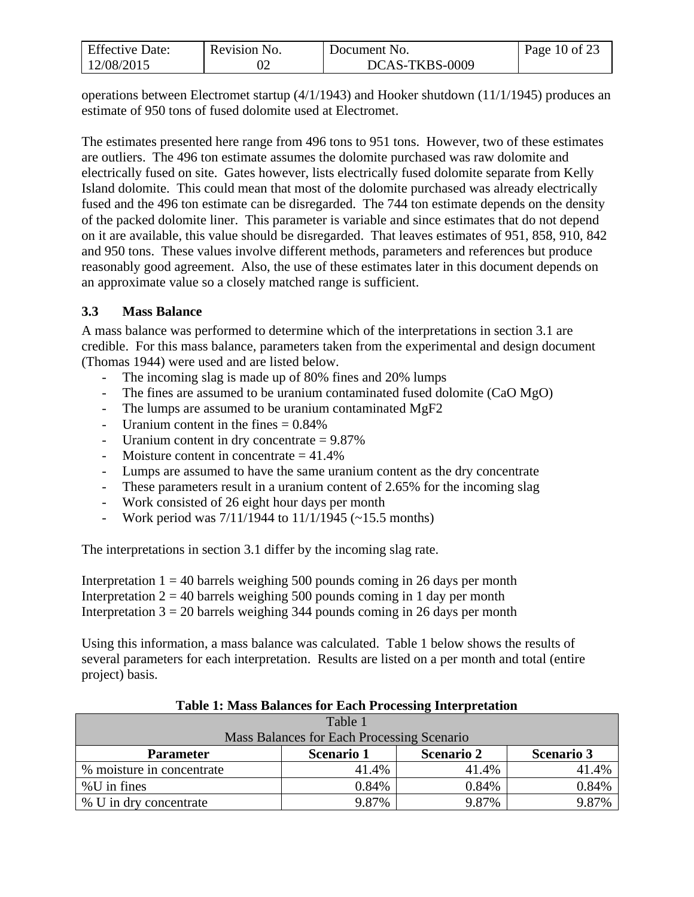| <b>Effective Date:</b> | Revision No. | Document No.   | Page 10 of 23 |
|------------------------|--------------|----------------|---------------|
| 12/08/2015             |              | DCAS-TKBS-0009 |               |

operations between Electromet startup (4/1/1943) and Hooker shutdown (11/1/1945) produces an estimate of 950 tons of fused dolomite used at Electromet.

The estimates presented here range from 496 tons to 951 tons. However, two of these estimates are outliers. The 496 ton estimate assumes the dolomite purchased was raw dolomite and electrically fused on site. Gates however, lists electrically fused dolomite separate from Kelly Island dolomite. This could mean that most of the dolomite purchased was already electrically fused and the 496 ton estimate can be disregarded. The 744 ton estimate depends on the density of the packed dolomite liner. This parameter is variable and since estimates that do not depend on it are available, this value should be disregarded. That leaves estimates of 951, 858, 910, 842 and 950 tons. These values involve different methods, parameters and references but produce reasonably good agreement. Also, the use of these estimates later in this document depends on an approximate value so a closely matched range is sufficient.

### <span id="page-9-0"></span>**3.3 Mass Balance**

A mass balance was performed to determine which of the interpretations in section 3.1 are credible. For this mass balance, parameters taken from the experimental and design document (Thomas 1944) were used and are listed below.

- The incoming slag is made up of 80% fines and 20% lumps
- The fines are assumed to be uranium contaminated fused dolomite (CaO MgO)
- The lumps are assumed to be uranium contaminated MgF2
- Uranium content in the fines  $= 0.84\%$
- Uranium content in dry concentrate = 9.87%
- Moisture content in concentrate  $= 41.4\%$
- Lumps are assumed to have the same uranium content as the dry concentrate
- These parameters result in a uranium content of 2.65% for the incoming slag
- Work consisted of 26 eight hour days per month
- Work period was  $7/11/1944$  to  $11/1/1945$  (~15.5 months)

The interpretations in section 3.1 differ by the incoming slag rate.

Interpretation  $1 = 40$  barrels weighing 500 pounds coming in 26 days per month Interpretation  $2 = 40$  barrels weighing 500 pounds coming in 1 day per month Interpretation  $3 = 20$  barrels weighing 344 pounds coming in 26 days per month

Using this information, a mass balance was calculated. Table 1 below shows the results of several parameters for each interpretation. Results are listed on a per month and total (entire project) basis.

| Table 1                                    |                   |                   |                   |  |  |
|--------------------------------------------|-------------------|-------------------|-------------------|--|--|
| Mass Balances for Each Processing Scenario |                   |                   |                   |  |  |
| <b>Parameter</b>                           | <b>Scenario 1</b> | <b>Scenario 2</b> | <b>Scenario 3</b> |  |  |
| % moisture in concentrate                  | 41.4%             | 41.4%             | 41.4%             |  |  |
| $%$ U in fines                             | 0.84%             | 0.84%             | 0.84%             |  |  |
| % U in dry concentrate                     | 9.87%             | 9.87%             | 9.87%             |  |  |

#### **Table 1: Mass Balances for Each Processing Interpretation**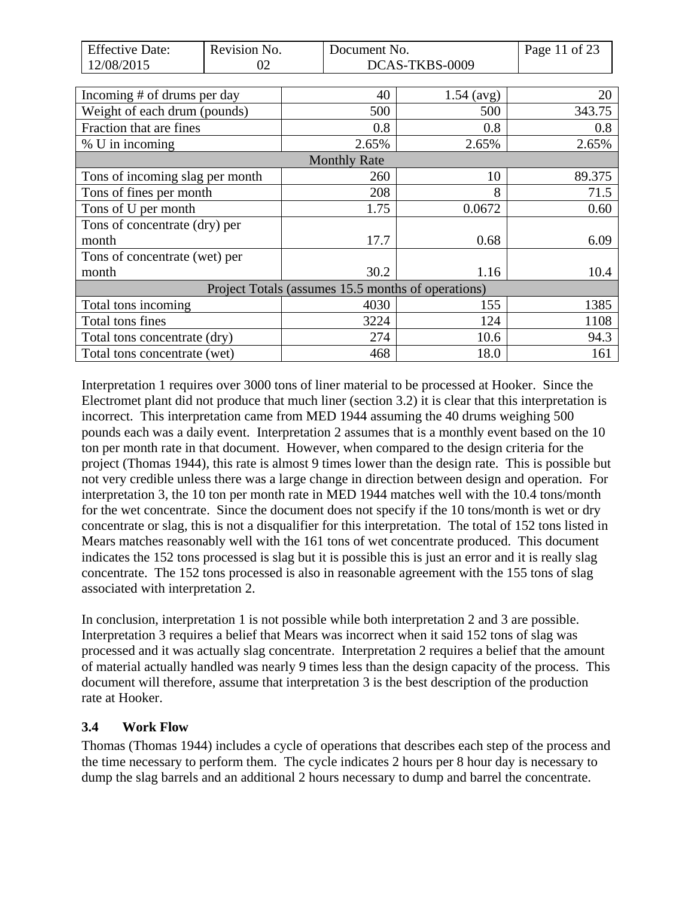| <b>Effective Date:</b>          | Revision No. | Document No.                                       |                | Page 11 of 23 |
|---------------------------------|--------------|----------------------------------------------------|----------------|---------------|
| 12/08/2015                      | 02           |                                                    | DCAS-TKBS-0009 |               |
|                                 |              |                                                    |                |               |
| Incoming # of drums per day     |              | 40                                                 | $1.54 \ (avg)$ | 20            |
| Weight of each drum (pounds)    |              | 500                                                | 500            | 343.75        |
| Fraction that are fines         |              | 0.8                                                | 0.8            | 0.8           |
| % U in incoming                 |              | 2.65%                                              | 2.65%          | 2.65%         |
|                                 |              | <b>Monthly Rate</b>                                |                |               |
| Tons of incoming slag per month |              | 260                                                | 10             | 89.375        |
| Tons of fines per month         |              | 208                                                | 8              | 71.5          |
| Tons of U per month             |              | 1.75                                               | 0.0672         | 0.60          |
| Tons of concentrate (dry) per   |              |                                                    |                |               |
| month                           |              | 17.7                                               | 0.68           | 6.09          |
| Tons of concentrate (wet) per   |              |                                                    |                |               |
| month                           |              | 30.2                                               | 1.16           | 10.4          |
|                                 |              | Project Totals (assumes 15.5 months of operations) |                |               |
| Total tons incoming             |              | 4030                                               | 155            | 1385          |
| Total tons fines                |              | 3224                                               | 124            | 1108          |
| Total tons concentrate (dry)    |              | 274                                                | 10.6           | 94.3          |
| Total tons concentrate (wet)    |              | 468                                                | 18.0           | 161           |

Interpretation 1 requires over 3000 tons of liner material to be processed at Hooker. Since the Electromet plant did not produce that much liner (section 3.2) it is clear that this interpretation is incorrect. This interpretation came from MED 1944 assuming the 40 drums weighing 500 pounds each was a daily event. Interpretation 2 assumes that is a monthly event based on the 10 ton per month rate in that document. However, when compared to the design criteria for the project (Thomas 1944), this rate is almost 9 times lower than the design rate. This is possible but not very credible unless there was a large change in direction between design and operation. For interpretation 3, the 10 ton per month rate in MED 1944 matches well with the 10.4 tons/month for the wet concentrate. Since the document does not specify if the 10 tons/month is wet or dry concentrate or slag, this is not a disqualifier for this interpretation. The total of 152 tons listed in Mears matches reasonably well with the 161 tons of wet concentrate produced. This document indicates the 152 tons processed is slag but it is possible this is just an error and it is really slag concentrate. The 152 tons processed is also in reasonable agreement with the 155 tons of slag associated with interpretation 2.

In conclusion, interpretation 1 is not possible while both interpretation 2 and 3 are possible. Interpretation 3 requires a belief that Mears was incorrect when it said 152 tons of slag was processed and it was actually slag concentrate. Interpretation 2 requires a belief that the amount of material actually handled was nearly 9 times less than the design capacity of the process. This document will therefore, assume that interpretation 3 is the best description of the production rate at Hooker.

### <span id="page-10-0"></span>**3.4 Work Flow**

Thomas (Thomas 1944) includes a cycle of operations that describes each step of the process and the time necessary to perform them. The cycle indicates 2 hours per 8 hour day is necessary to dump the slag barrels and an additional 2 hours necessary to dump and barrel the concentrate.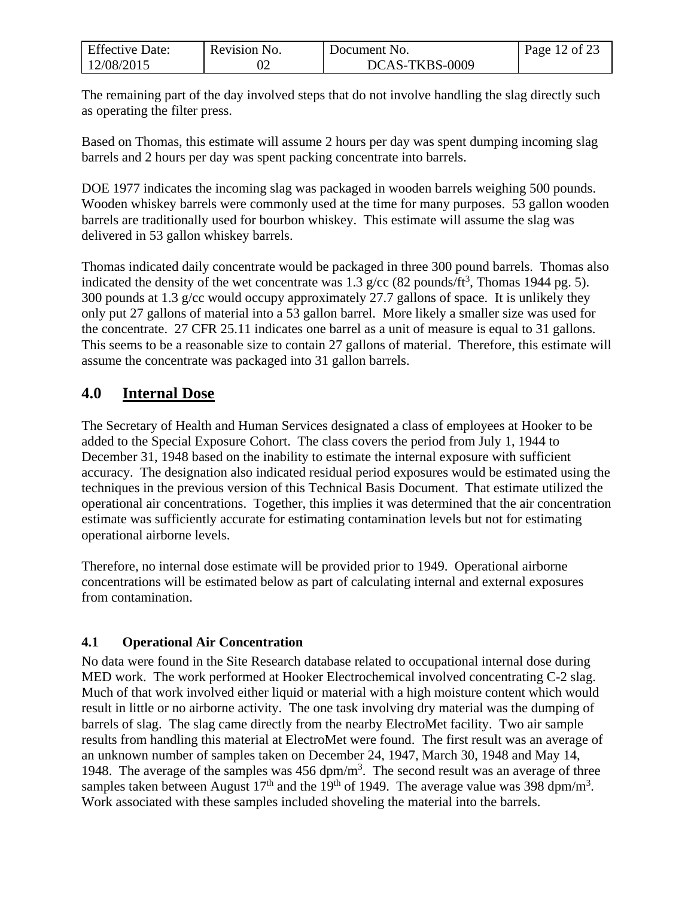| <b>Effective Date:</b> | Revision No. | Document No.   | Page 12 of 23 |
|------------------------|--------------|----------------|---------------|
| 12/08/2015             |              | DCAS-TKBS-0009 |               |

The remaining part of the day involved steps that do not involve handling the slag directly such as operating the filter press.

Based on Thomas, this estimate will assume 2 hours per day was spent dumping incoming slag barrels and 2 hours per day was spent packing concentrate into barrels.

DOE 1977 indicates the incoming slag was packaged in wooden barrels weighing 500 pounds. Wooden whiskey barrels were commonly used at the time for many purposes. 53 gallon wooden barrels are traditionally used for bourbon whiskey. This estimate will assume the slag was delivered in 53 gallon whiskey barrels.

Thomas indicated daily concentrate would be packaged in three 300 pound barrels. Thomas also indicated the density of the wet concentrate was 1.3 g/cc (82 pounds/ft<sup>3</sup>, Thomas 1944 pg. 5). 300 pounds at 1.3 g/cc would occupy approximately 27.7 gallons of space. It is unlikely they only put 27 gallons of material into a 53 gallon barrel. More likely a smaller size was used for the concentrate. 27 CFR 25.11 indicates one barrel as a unit of measure is equal to 31 gallons. This seems to be a reasonable size to contain 27 gallons of material. Therefore, this estimate will assume the concentrate was packaged into 31 gallon barrels.

## <span id="page-11-0"></span>**4.0 Internal Dose**

The Secretary of Health and Human Services designated a class of employees at Hooker to be added to the Special Exposure Cohort. The class covers the period from July 1, 1944 to December 31, 1948 based on the inability to estimate the internal exposure with sufficient accuracy. The designation also indicated residual period exposures would be estimated using the techniques in the previous version of this Technical Basis Document. That estimate utilized the operational air concentrations. Together, this implies it was determined that the air concentration estimate was sufficiently accurate for estimating contamination levels but not for estimating operational airborne levels.

Therefore, no internal dose estimate will be provided prior to 1949. Operational airborne concentrations will be estimated below as part of calculating internal and external exposures from contamination.

### <span id="page-11-1"></span>**4.1 Operational Air Concentration**

No data were found in the Site Research database related to occupational internal dose during MED work. The work performed at Hooker Electrochemical involved concentrating C-2 slag. Much of that work involved either liquid or material with a high moisture content which would result in little or no airborne activity. The one task involving dry material was the dumping of barrels of slag. The slag came directly from the nearby ElectroMet facility. Two air sample results from handling this material at ElectroMet were found. The first result was an average of an unknown number of samples taken on December 24, 1947, March 30, 1948 and May 14, 1948. The average of the samples was  $456 \text{ dpm/m}^3$ . The second result was an average of three samples taken between August 17<sup>th</sup> and the 19<sup>th</sup> of 1949. The average value was 398 dpm/m<sup>3</sup>. Work associated with these samples included shoveling the material into the barrels.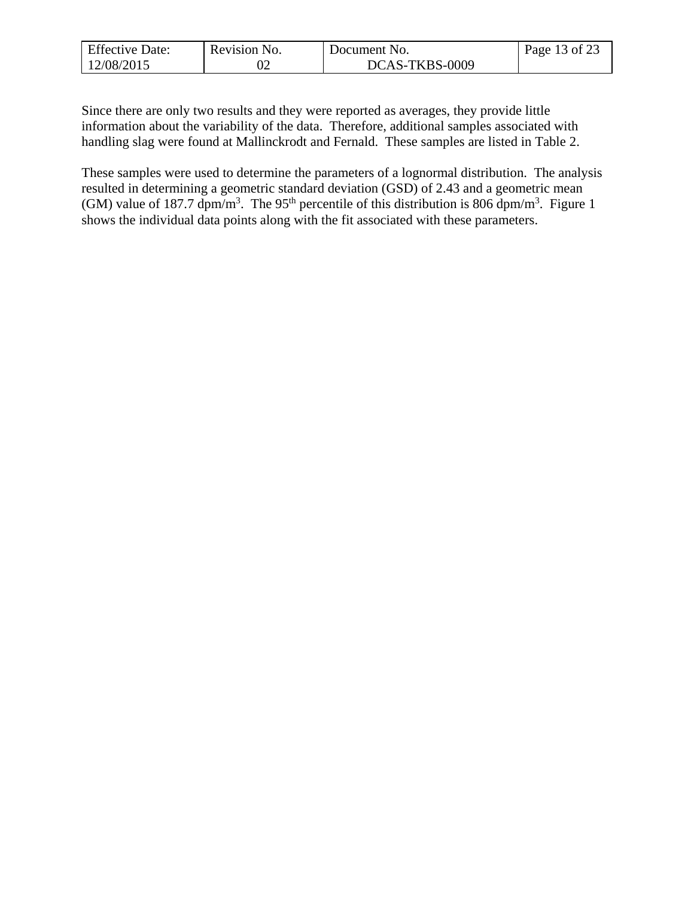| <b>Effective Date:</b> | Revision No. | Document No.   | Page 13 of 23 |
|------------------------|--------------|----------------|---------------|
| 12/08/2015             | ∪∠           | DCAS-TKBS-0009 |               |

Since there are only two results and they were reported as averages, they provide little information about the variability of the data. Therefore, additional samples associated with handling slag were found at Mallinckrodt and Fernald. These samples are listed in Table 2.

These samples were used to determine the parameters of a lognormal distribution. The analysis resulted in determining a geometric standard deviation (GSD) of 2.43 and a geometric mean (GM) value of 187.7 dpm/m<sup>3</sup>. The 95<sup>th</sup> percentile of this distribution is 806 dpm/m<sup>3</sup>. Figure 1 shows the individual data points along with the fit associated with these parameters.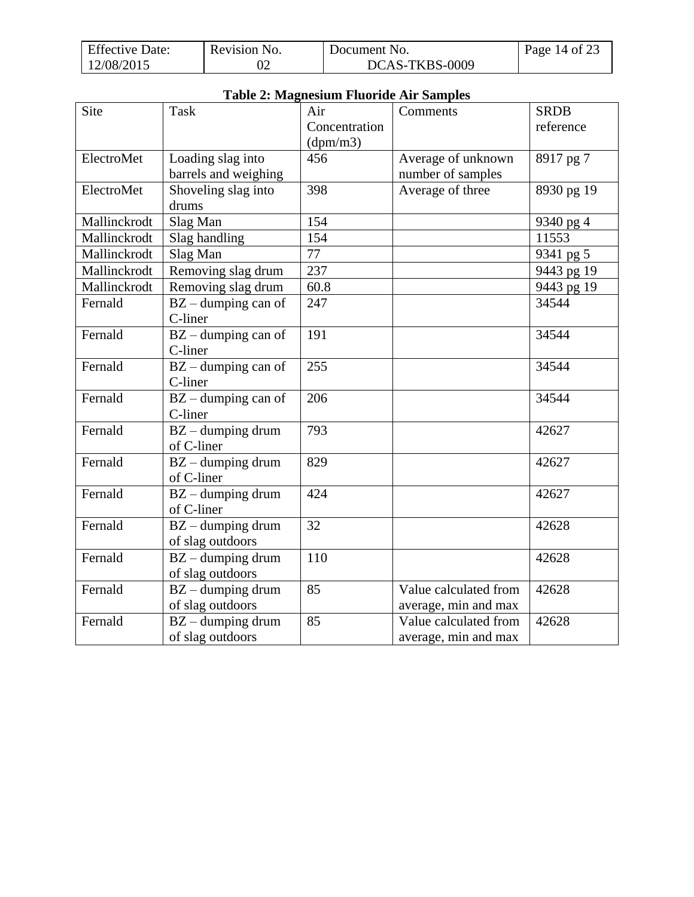| <b>Effective Date:</b> | Revision No. | Document No.   | Page 14 of 23 |
|------------------------|--------------|----------------|---------------|
| 12/08/2015             |              | DCAS-TKBS-0009 |               |

|              | Table 2: Magnesium Fluoride Air Samples |               |                       |             |  |  |
|--------------|-----------------------------------------|---------------|-----------------------|-------------|--|--|
| <b>Site</b>  | <b>Task</b>                             | Air           | Comments              | <b>SRDB</b> |  |  |
|              |                                         | Concentration |                       | reference   |  |  |
|              |                                         | (dpm/m3)      |                       |             |  |  |
| ElectroMet   | Loading slag into                       | 456           | Average of unknown    | 8917 pg 7   |  |  |
|              | barrels and weighing                    |               | number of samples     |             |  |  |
| ElectroMet   | Shoveling slag into                     | 398           | Average of three      | 8930 pg 19  |  |  |
|              | drums                                   |               |                       |             |  |  |
| Mallinckrodt | Slag Man                                | 154           |                       | 9340 pg 4   |  |  |
| Mallinckrodt | Slag handling                           | 154           |                       | 11553       |  |  |
| Mallinckrodt | Slag Man                                | 77            |                       | 9341 pg 5   |  |  |
| Mallinckrodt | Removing slag drum                      | 237           |                       | 9443 pg 19  |  |  |
| Mallinckrodt | Removing slag drum                      | 60.8          |                       | 9443 pg 19  |  |  |
| Fernald      | $BZ$ – dumping can of                   | 247           |                       | 34544       |  |  |
|              | C-liner                                 |               |                       |             |  |  |
| Fernald      | $BZ$ – dumping can of                   | 191           |                       | 34544       |  |  |
|              | C-liner                                 |               |                       |             |  |  |
| Fernald      | $BZ$ – dumping can of                   | 255           |                       | 34544       |  |  |
|              | C-liner                                 |               |                       |             |  |  |
| Fernald      | $BZ$ – dumping can of                   | 206           |                       | 34544       |  |  |
|              | C-liner                                 |               |                       |             |  |  |
| Fernald      | $BZ$ – dumping drum                     | 793           |                       | 42627       |  |  |
|              | of C-liner                              |               |                       |             |  |  |
| Fernald      | $BZ$ – dumping drum                     | 829           |                       | 42627       |  |  |
|              | of C-liner                              |               |                       |             |  |  |
| Fernald      | $BZ$ – dumping drum                     | 424           |                       | 42627       |  |  |
|              | of C-liner                              |               |                       |             |  |  |
| Fernald      | $\overline{BZ}$ – dumping drum          | 32            |                       | 42628       |  |  |
|              | of slag outdoors                        |               |                       |             |  |  |
| Fernald      | $BZ$ – dumping drum                     | 110           |                       | 42628       |  |  |
|              | of slag outdoors                        |               |                       |             |  |  |
| Fernald      | $BZ$ – dumping drum                     | 85            | Value calculated from | 42628       |  |  |
|              | of slag outdoors                        |               | average, min and max  |             |  |  |
| Fernald      | $BZ$ – dumping drum                     | 85            | Value calculated from | 42628       |  |  |
|              | of slag outdoors                        |               | average, min and max  |             |  |  |

### **Table 2: Magnesium Fluoride Air Samples**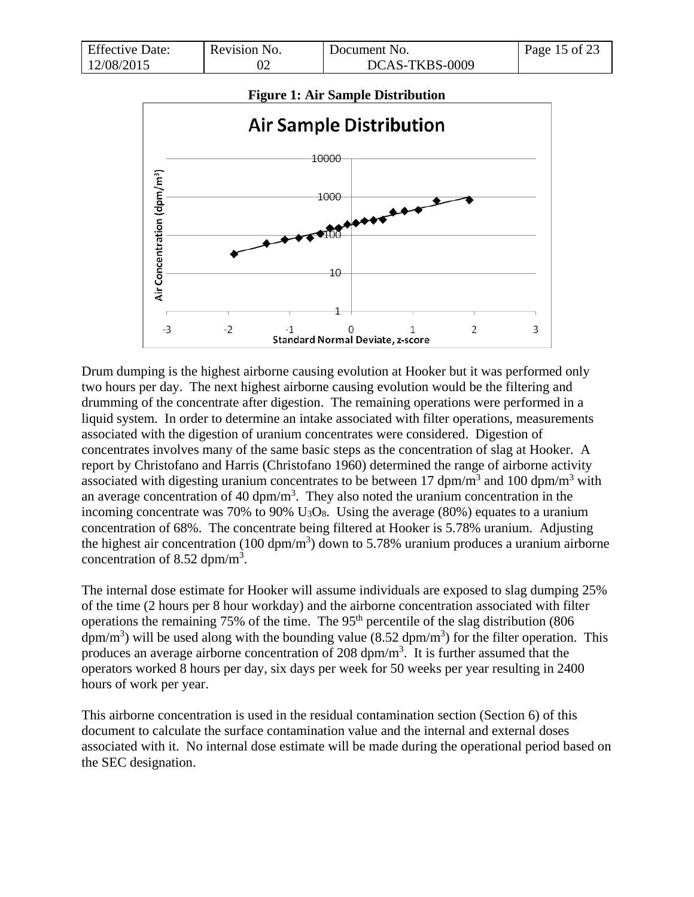| <b>Effective Date:</b> | Revision No. | Document No.   | Page 15 of 23 |
|------------------------|--------------|----------------|---------------|
| 12/08/2015             |              | DCAS-TKBS-0009 |               |



Drum dumping is the highest airborne causing evolution at Hooker but it was performed only two hours per day. The next highest airborne causing evolution would be the filtering and drumming of the concentrate after digestion. The remaining operations were performed in a liquid system. In order to determine an intake associated with filter operations, measurements associated with the digestion of uranium concentrates were considered. Digestion of concentrates involves many of the same basic steps as the concentration of slag at Hooker. A report by Christofano and Harris (Christofano 1960) determined the range of airborne activity associated with digesting uranium concentrates to be between 17 dpm/m<sup>3</sup> and 100 dpm/m<sup>3</sup> with an average concentration of 40 dpm/ $m<sup>3</sup>$ . They also noted the uranium concentration in the incoming concentrate was 70% to 90%  $U_3O_8$ . Using the average (80%) equates to a uranium concentration of 68%. The concentrate being filtered at Hooker is 5.78% uranium. Adjusting the highest air concentration (100 dpm/m<sup>3</sup>) down to 5.78% uranium produces a uranium airborne concentration of 8.52 dpm/m<sup>3</sup>.

The internal dose estimate for Hooker will assume individuals are exposed to slag dumping 25% of the time (2 hours per 8 hour workday) and the airborne concentration associated with filter operations the remaining 75% of the time. The 95<sup>th</sup> percentile of the slag distribution (806) dpm/m<sup>3</sup>) will be used along with the bounding value (8.52 dpm/m<sup>3</sup>) for the filter operation. This produces an average airborne concentration of 208  $dpm/m<sup>3</sup>$ . It is further assumed that the operators worked 8 hours per day, six days per week for 50 weeks per year resulting in 2400 hours of work per year.

This airborne concentration is used in the residual contamination section (Section 6) of this document to calculate the surface contamination value and the internal and external doses associated with it. No internal dose estimate will be made during the operational period based on the SEC designation.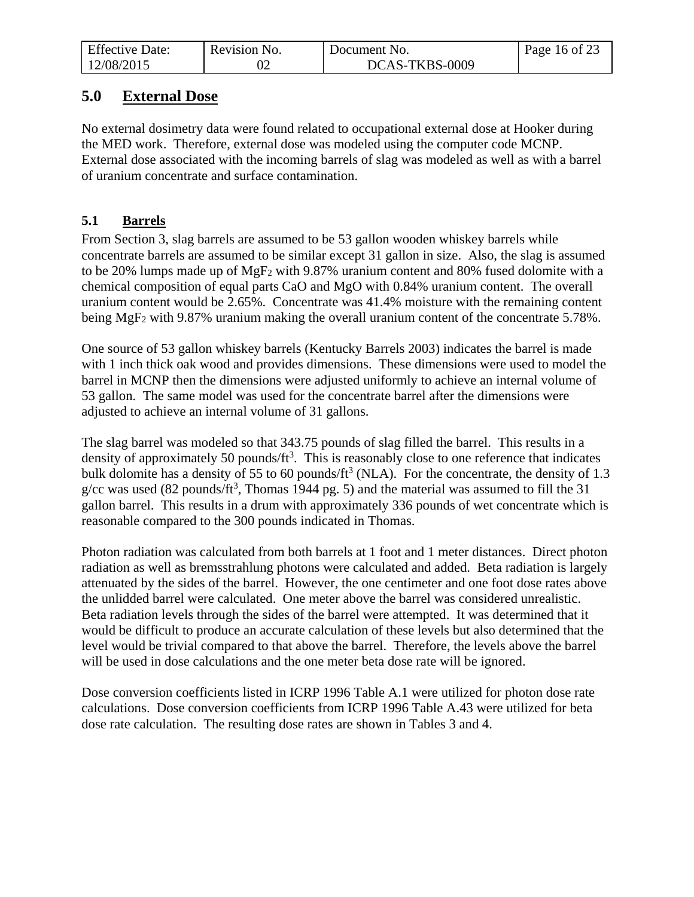| <b>Effective Date:</b> | Revision No. | Document No.   | Page 16 of 23 |
|------------------------|--------------|----------------|---------------|
| 12/08/2015             |              | DCAS-TKBS-0009 |               |

## <span id="page-15-0"></span>**5.0 External Dose**

No external dosimetry data were found related to occupational external dose at Hooker during the MED work. Therefore, external dose was modeled using the computer code MCNP. External dose associated with the incoming barrels of slag was modeled as well as with a barrel of uranium concentrate and surface contamination.

### <span id="page-15-1"></span>**5.1 Barrels**

From Section 3, slag barrels are assumed to be 53 gallon wooden whiskey barrels while concentrate barrels are assumed to be similar except 31 gallon in size. Also, the slag is assumed to be 20% lumps made up of MgF<sup>2</sup> with 9.87% uranium content and 80% fused dolomite with a chemical composition of equal parts CaO and MgO with 0.84% uranium content. The overall uranium content would be 2.65%. Concentrate was 41.4% moisture with the remaining content being MgF<sub>2</sub> with 9.87% uranium making the overall uranium content of the concentrate 5.78%.

One source of 53 gallon whiskey barrels (Kentucky Barrels 2003) indicates the barrel is made with 1 inch thick oak wood and provides dimensions. These dimensions were used to model the barrel in MCNP then the dimensions were adjusted uniformly to achieve an internal volume of 53 gallon. The same model was used for the concentrate barrel after the dimensions were adjusted to achieve an internal volume of 31 gallons.

The slag barrel was modeled so that 343.75 pounds of slag filled the barrel. This results in a density of approximately 50 pounds/ $ft<sup>3</sup>$ . This is reasonably close to one reference that indicates bulk dolomite has a density of 55 to 60 pounds/ $\text{ft}^3$  (NLA). For the concentrate, the density of 1.3 g/cc was used (82 pounds/ft<sup>3</sup>, Thomas 1944 pg. 5) and the material was assumed to fill the 31 gallon barrel. This results in a drum with approximately 336 pounds of wet concentrate which is reasonable compared to the 300 pounds indicated in Thomas.

Photon radiation was calculated from both barrels at 1 foot and 1 meter distances. Direct photon radiation as well as bremsstrahlung photons were calculated and added. Beta radiation is largely attenuated by the sides of the barrel. However, the one centimeter and one foot dose rates above the unlidded barrel were calculated. One meter above the barrel was considered unrealistic. Beta radiation levels through the sides of the barrel were attempted. It was determined that it would be difficult to produce an accurate calculation of these levels but also determined that the level would be trivial compared to that above the barrel. Therefore, the levels above the barrel will be used in dose calculations and the one meter beta dose rate will be ignored.

Dose conversion coefficients listed in ICRP 1996 Table A.1 were utilized for photon dose rate calculations. Dose conversion coefficients from ICRP 1996 Table A.43 were utilized for beta dose rate calculation. The resulting dose rates are shown in Tables 3 and 4.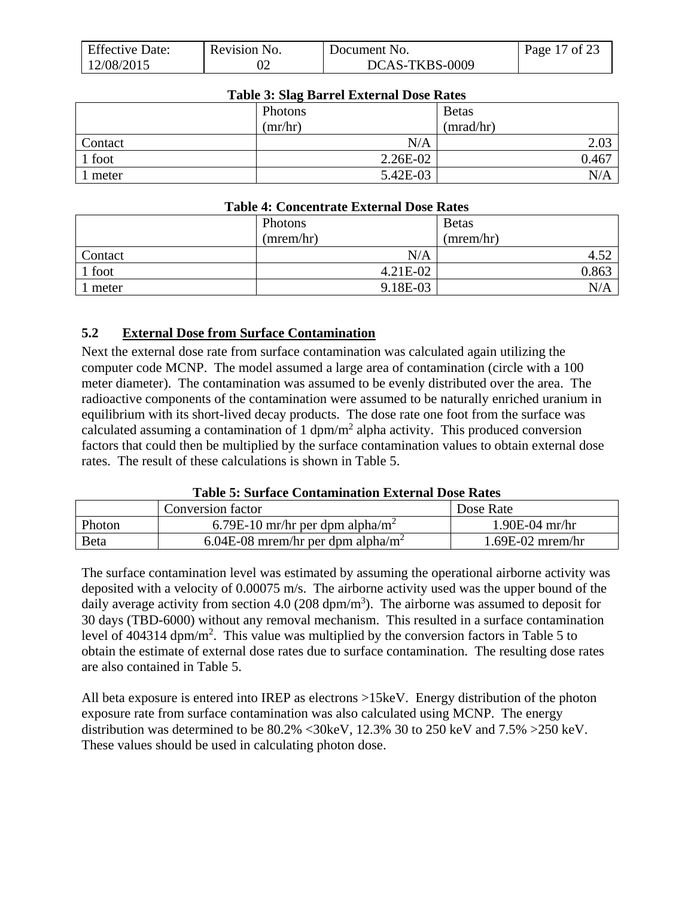| <b>Effective Date:</b> | Revision No. | Document No.   | 17 of 23<br>Page 17 |
|------------------------|--------------|----------------|---------------------|
| 12/08/2015             |              | DCAS-TKBS-0009 |                     |

| Table 5: Stag Barrel External Dose Rates |            |              |  |
|------------------------------------------|------------|--------------|--|
|                                          | Photons    | <b>Betas</b> |  |
|                                          | (mr/hr)    | (mrad/hr)    |  |
| Contact                                  | N/A        | 2.03         |  |
| 1 foot                                   | $2.26E-02$ | 0.467        |  |
| meter                                    | 5.42E-03   | N/A          |  |

#### **Table 3: Slag Barrel External Dose Rates**

#### **Table 4: Concentrate External Dose Rates**

|         | Photons   | <b>Betas</b> |
|---------|-----------|--------------|
|         | (mrem/hr) | (mrem/hr)    |
| Contact | N/A       | 52<br>4.JZ   |
| 1 foot  | 4.21E-02  | 0.863        |
| meter   | 9.18E-03  | N/A          |

### <span id="page-16-0"></span>**5.2 External Dose from Surface Contamination**

Next the external dose rate from surface contamination was calculated again utilizing the computer code MCNP. The model assumed a large area of contamination (circle with a 100 meter diameter). The contamination was assumed to be evenly distributed over the area. The radioactive components of the contamination were assumed to be naturally enriched uranium in equilibrium with its short-lived decay products. The dose rate one foot from the surface was calculated assuming a contamination of 1  $dpm/m^2$  alpha activity. This produced conversion factors that could then be multiplied by the surface contamination values to obtain external dose rates. The result of these calculations is shown in Table 5.

#### **Table 5: Surface Contamination External Dose Rates**

|        | Conversion factor                             | Dose Rate          |
|--------|-----------------------------------------------|--------------------|
| Photon | 6.79E-10 mr/hr per dpm alpha/m <sup>2</sup>   | $1.90E-04$ mr/hr   |
| Beta   | 6.04E-08 mrem/hr per dpm alpha/m <sup>2</sup> | $1.69E-02$ mrem/hr |

The surface contamination level was estimated by assuming the operational airborne activity was deposited with a velocity of 0.00075 m/s. The airborne activity used was the upper bound of the daily average activity from section 4.0 (208 dpm/m<sup>3</sup>). The airborne was assumed to deposit for 30 days (TBD-6000) without any removal mechanism. This resulted in a surface contamination level of 404314 dpm/m<sup>2</sup>. This value was multiplied by the conversion factors in Table 5 to obtain the estimate of external dose rates due to surface contamination. The resulting dose rates are also contained in Table 5.

All beta exposure is entered into IREP as electrons >15keV. Energy distribution of the photon exposure rate from surface contamination was also calculated using MCNP. The energy distribution was determined to be 80.2% <30keV, 12.3% 30 to 250 keV and 7.5% >250 keV. These values should be used in calculating photon dose.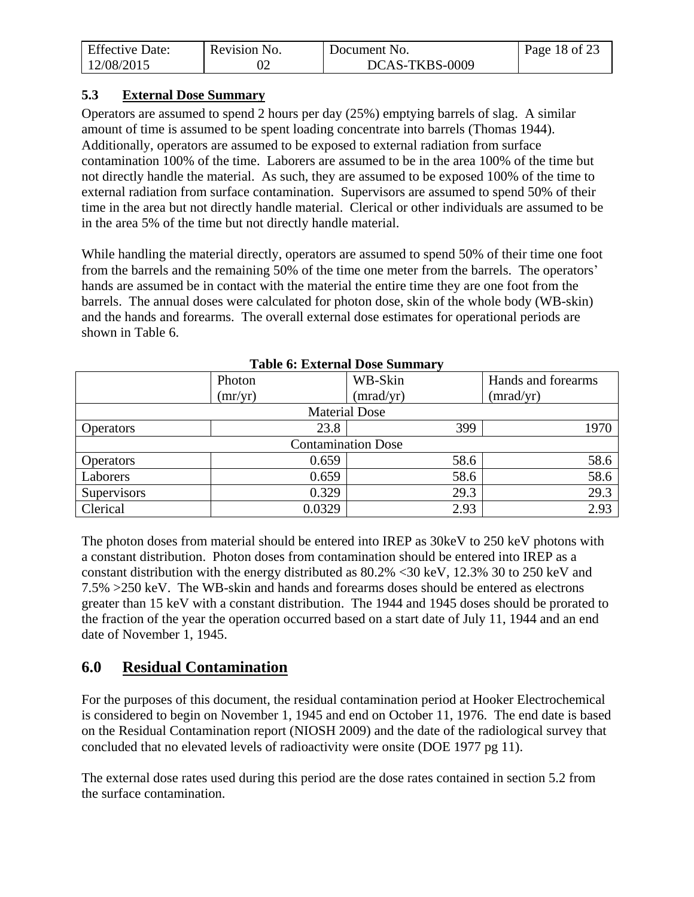| <b>Effective Date:</b> | Revision No. | Document No.   | Page 18 of 23 |
|------------------------|--------------|----------------|---------------|
| 12/08/2015             |              | DCAS-TKBS-0009 |               |

### <span id="page-17-0"></span>**5.3 External Dose Summary**

Operators are assumed to spend 2 hours per day (25%) emptying barrels of slag. A similar amount of time is assumed to be spent loading concentrate into barrels (Thomas 1944). Additionally, operators are assumed to be exposed to external radiation from surface contamination 100% of the time. Laborers are assumed to be in the area 100% of the time but not directly handle the material. As such, they are assumed to be exposed 100% of the time to external radiation from surface contamination. Supervisors are assumed to spend 50% of their time in the area but not directly handle material. Clerical or other individuals are assumed to be in the area 5% of the time but not directly handle material.

While handling the material directly, operators are assumed to spend 50% of their time one foot from the barrels and the remaining 50% of the time one meter from the barrels. The operators' hands are assumed be in contact with the material the entire time they are one foot from the barrels. The annual doses were calculated for photon dose, skin of the whole body (WB-skin) and the hands and forearms. The overall external dose estimates for operational periods are shown in Table 6.

| Table 0. External Dose Summary |                           |                      |                    |  |  |
|--------------------------------|---------------------------|----------------------|--------------------|--|--|
|                                | Photon                    | WB-Skin              | Hands and forearms |  |  |
|                                | (mr/yr)                   | (mrad/yr)            | (mrad/yr)          |  |  |
|                                |                           | <b>Material Dose</b> |                    |  |  |
| <b>Operators</b>               | 23.8                      | 399                  | 1970               |  |  |
|                                | <b>Contamination Dose</b> |                      |                    |  |  |
| <b>Operators</b>               | 0.659                     | 58.6                 | 58.6               |  |  |
| Laborers                       | 0.659                     | 58.6                 | 58.6               |  |  |
| Supervisors                    | 0.329                     | 29.3                 | 29.3               |  |  |
| Clerical                       | 0.0329                    | 2.93                 | 2.93               |  |  |

**Table 6: External Dose Summary**

The photon doses from material should be entered into IREP as 30keV to 250 keV photons with a constant distribution. Photon doses from contamination should be entered into IREP as a constant distribution with the energy distributed as 80.2% <30 keV, 12.3% 30 to 250 keV and 7.5% >250 keV. The WB-skin and hands and forearms doses should be entered as electrons greater than 15 keV with a constant distribution. The 1944 and 1945 doses should be prorated to the fraction of the year the operation occurred based on a start date of July 11, 1944 and an end date of November 1, 1945.

# <span id="page-17-1"></span>**6.0 Residual Contamination**

For the purposes of this document, the residual contamination period at Hooker Electrochemical is considered to begin on November 1, 1945 and end on October 11, 1976. The end date is based on the Residual Contamination report (NIOSH 2009) and the date of the radiological survey that concluded that no elevated levels of radioactivity were onsite (DOE 1977 pg 11).

The external dose rates used during this period are the dose rates contained in section 5.2 from the surface contamination.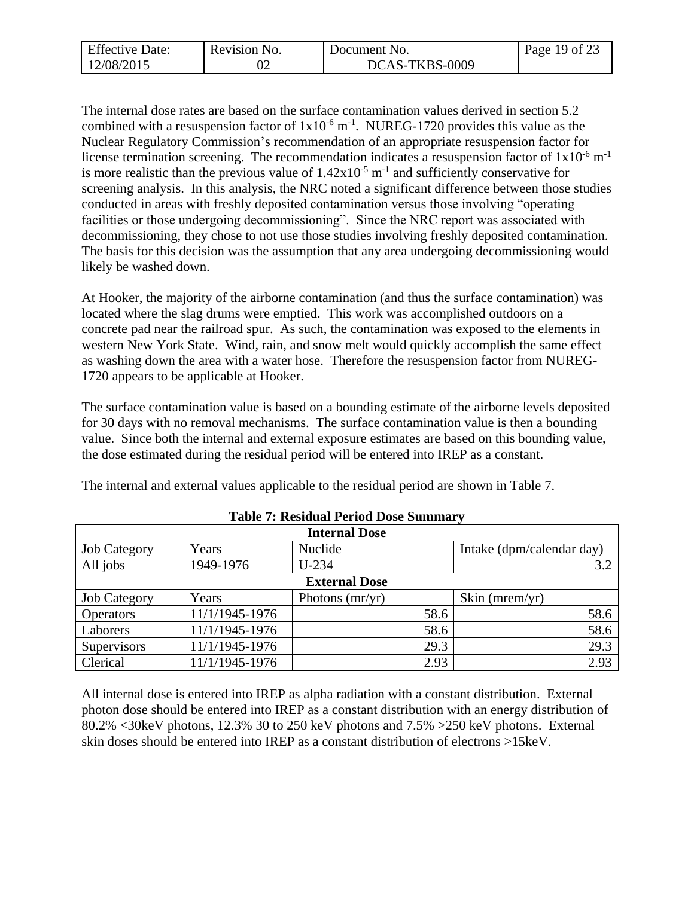| <b>Effective Date:</b> | Revision No. | Document No.   | Page 19 of 23 |
|------------------------|--------------|----------------|---------------|
| 12/08/2015             |              | DCAS-TKBS-0009 |               |

The internal dose rates are based on the surface contamination values derived in section 5.2 combined with a resuspension factor of  $1x10^{-6}$  m<sup>-1</sup>. NUREG-1720 provides this value as the Nuclear Regulatory Commission's recommendation of an appropriate resuspension factor for license termination screening. The recommendation indicates a resuspension factor of  $1x10^{-6}$  m<sup>-1</sup> is more realistic than the previous value of  $1.42 \times 10^{-5}$  m<sup>-1</sup> and sufficiently conservative for screening analysis. In this analysis, the NRC noted a significant difference between those studies conducted in areas with freshly deposited contamination versus those involving "operating facilities or those undergoing decommissioning". Since the NRC report was associated with decommissioning, they chose to not use those studies involving freshly deposited contamination. The basis for this decision was the assumption that any area undergoing decommissioning would likely be washed down.

At Hooker, the majority of the airborne contamination (and thus the surface contamination) was located where the slag drums were emptied. This work was accomplished outdoors on a concrete pad near the railroad spur. As such, the contamination was exposed to the elements in western New York State. Wind, rain, and snow melt would quickly accomplish the same effect as washing down the area with a water hose. Therefore the resuspension factor from NUREG-1720 appears to be applicable at Hooker.

The surface contamination value is based on a bounding estimate of the airborne levels deposited for 30 days with no removal mechanisms. The surface contamination value is then a bounding value. Since both the internal and external exposure estimates are based on this bounding value, the dose estimated during the residual period will be entered into IREP as a constant.

| The internal and external values applicable to the residual period are shown in Table 7. |  |
|------------------------------------------------------------------------------------------|--|
|                                                                                          |  |

| <b>Internal Dose</b> |                |                   |                           |  |
|----------------------|----------------|-------------------|---------------------------|--|
| <b>Job Category</b>  | Years          | Nuclide           | Intake (dpm/calendar day) |  |
| All jobs             | 1949-1976      | $U-234$           | 3.2                       |  |
| <b>External Dose</b> |                |                   |                           |  |
| <b>Job Category</b>  | Years          | Photons $(mr/yr)$ | Skin ( $merm/yr$ )        |  |
| <b>Operators</b>     | 11/1/1945-1976 | 58.6              | 58.6                      |  |
| Laborers             | 11/1/1945-1976 | 58.6              | 58.6                      |  |
| Supervisors          | 11/1/1945-1976 | 29.3              | 29.3                      |  |
| Clerical             | 11/1/1945-1976 | 2.93              | 2.93                      |  |

### **Table 7: Residual Period Dose Summary**

<span id="page-18-0"></span>All internal dose is entered into IREP as alpha radiation with a constant distribution. External photon dose should be entered into IREP as a constant distribution with an energy distribution of 80.2% <30keV photons, 12.3% 30 to 250 keV photons and 7.5% >250 keV photons. External skin doses should be entered into IREP as a constant distribution of electrons >15keV.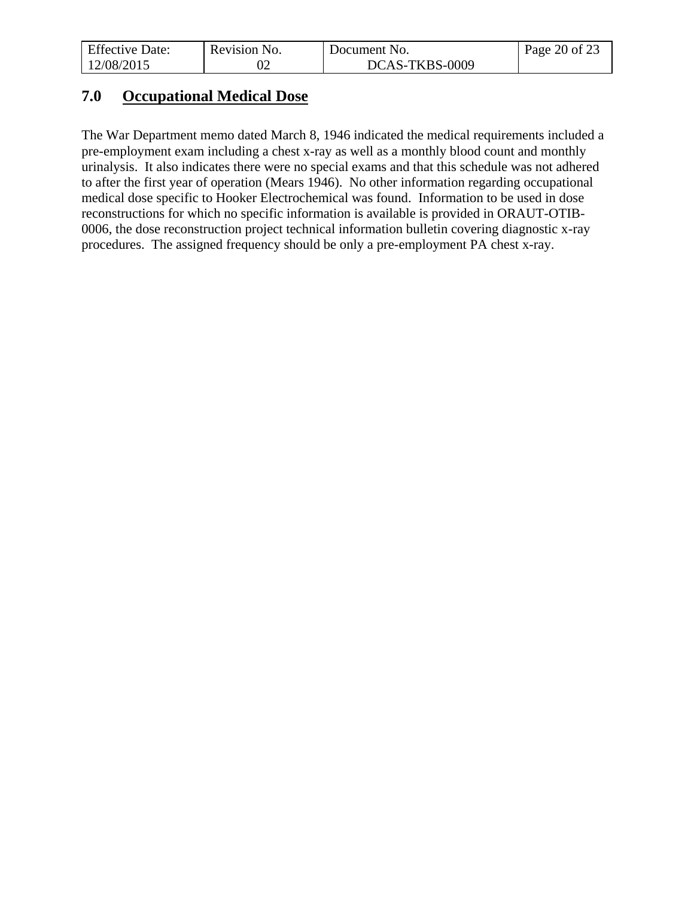| <b>Effective Date:</b> | Revision No. | Document No.   | Page 20 of 23 |
|------------------------|--------------|----------------|---------------|
| 12/08/2015             |              | DCAS-TKBS-0009 |               |

# **7.0 Occupational Medical Dose**

The War Department memo dated March 8, 1946 indicated the medical requirements included a pre-employment exam including a chest x-ray as well as a monthly blood count and monthly urinalysis. It also indicates there were no special exams and that this schedule was not adhered to after the first year of operation (Mears 1946). No other information regarding occupational medical dose specific to Hooker Electrochemical was found. Information to be used in dose reconstructions for which no specific information is available is provided in ORAUT-OTIB-0006, the dose reconstruction project technical information bulletin covering diagnostic x-ray procedures. The assigned frequency should be only a pre-employment PA chest x-ray.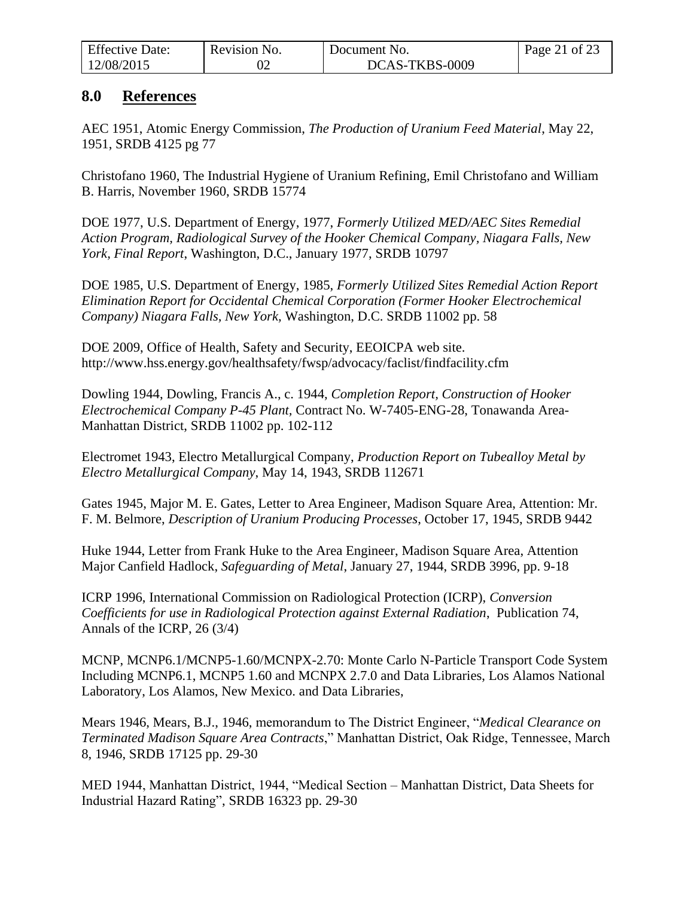| <b>Effective Date:</b> | Revision No. | Document No.   | Page 21 of 23 |
|------------------------|--------------|----------------|---------------|
| 12/08/2015             |              | DCAS-TKBS-0009 |               |

### <span id="page-20-0"></span>**8.0 References**

AEC 1951, Atomic Energy Commission, *The Production of Uranium Feed Material*, May 22, 1951, SRDB 4125 pg 77

Christofano 1960, The Industrial Hygiene of Uranium Refining, Emil Christofano and William B. Harris, November 1960, SRDB 15774

DOE 1977, U.S. Department of Energy, 1977, *Formerly Utilized MED/AEC Sites Remedial Action Program, Radiological Survey of the Hooker Chemical Company, Niagara Falls, New York, Final Report*, Washington, D.C., January 1977, SRDB 10797

DOE 1985, U.S. Department of Energy, 1985, *Formerly Utilized Sites Remedial Action Report Elimination Report for Occidental Chemical Corporation (Former Hooker Electrochemical Company) Niagara Falls, New York,* Washington, D.C. SRDB 11002 pp. 58

DOE 2009, Office of Health, Safety and Security, EEOICPA web site. http://www.hss.energy.gov/healthsafety/fwsp/advocacy/faclist/findfacility.cfm

Dowling 1944, Dowling, Francis A., c. 1944, *Completion Report, Construction of Hooker Electrochemical Company P-45 Plant,* Contract No. W-7405-ENG-28, Tonawanda Area-Manhattan District, SRDB 11002 pp. 102-112

Electromet 1943, Electro Metallurgical Company, *Production Report on Tubealloy Metal by Electro Metallurgical Company*, May 14, 1943, SRDB 112671

Gates 1945, Major M. E. Gates, Letter to Area Engineer, Madison Square Area, Attention: Mr. F. M. Belmore, *Description of Uranium Producing Processes*, October 17, 1945, SRDB 9442

Huke 1944, Letter from Frank Huke to the Area Engineer, Madison Square Area, Attention Major Canfield Hadlock, *Safeguarding of Metal*, January 27, 1944, SRDB 3996, pp. 9-18

ICRP 1996, International Commission on Radiological Protection (ICRP), *Conversion Coefficients for use in Radiological Protection against External Radiation*, Publication 74, Annals of the ICRP, 26 (3/4)

MCNP, MCNP6.1/MCNP5-1.60/MCNPX-2.70: Monte Carlo N-Particle Transport Code System Including MCNP6.1, MCNP5 1.60 and MCNPX 2.7.0 and Data Libraries, Los Alamos National Laboratory, Los Alamos, New Mexico. and Data Libraries,

Mears 1946, Mears, B.J., 1946, memorandum to The District Engineer, "*Medical Clearance on Terminated Madison Square Area Contracts*," Manhattan District, Oak Ridge, Tennessee, March 8, 1946, SRDB 17125 pp. 29-30

MED 1944, Manhattan District, 1944, "Medical Section – Manhattan District, Data Sheets for Industrial Hazard Rating", SRDB 16323 pp. 29-30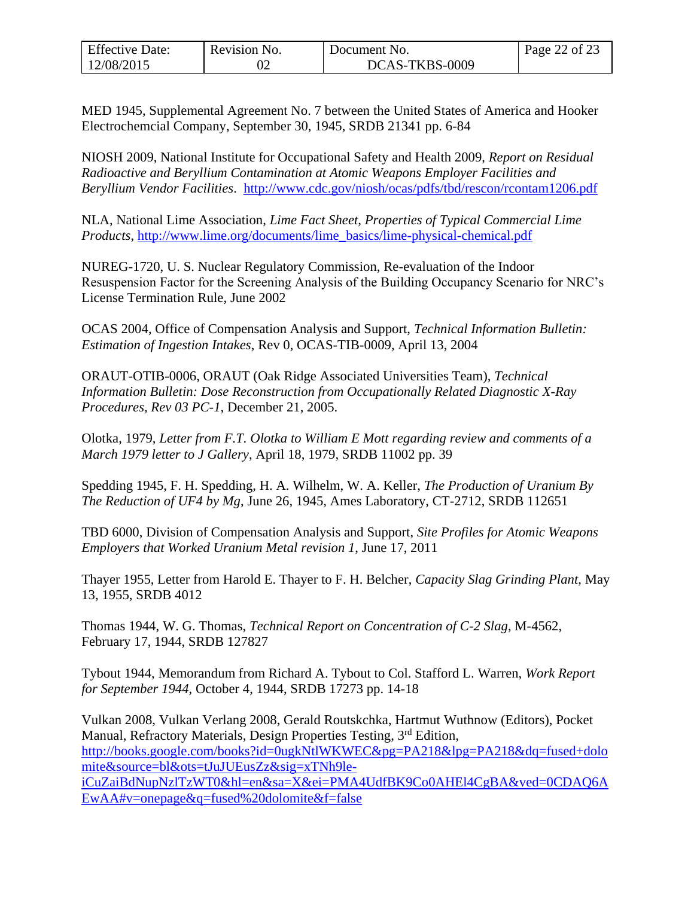| <b>Effective Date:</b> | Revision No. | Document No.   | Page 22 of 23 |
|------------------------|--------------|----------------|---------------|
| 12/08/2015             |              | DCAS-TKBS-0009 |               |

MED 1945, Supplemental Agreement No. 7 between the United States of America and Hooker Electrochemcial Company, September 30, 1945, SRDB 21341 pp. 6-84

NIOSH 2009, National Institute for Occupational Safety and Health 2009, *Report on Residual Radioactive and Beryllium Contamination at Atomic Weapons Employer Facilities and Beryllium Vendor Facilities*. <http://www.cdc.gov/niosh/ocas/pdfs/tbd/rescon/rcontam1206.pdf>

NLA, National Lime Association, *Lime Fact Sheet, Properties of Typical Commercial Lime Products*, [http://www.lime.org/documents/lime\\_basics/lime-physical-chemical.pdf](http://www.lime.org/documents/lime_basics/lime-physical-chemical.pdf)

NUREG-1720, U. S. Nuclear Regulatory Commission, Re-evaluation of the Indoor Resuspension Factor for the Screening Analysis of the Building Occupancy Scenario for NRC's License Termination Rule, June 2002

OCAS 2004, Office of Compensation Analysis and Support, *Technical Information Bulletin: Estimation of Ingestion Intakes*, Rev 0, OCAS-TIB-0009, April 13, 2004

ORAUT-OTIB-0006, ORAUT (Oak Ridge Associated Universities Team), *Technical Information Bulletin: Dose Reconstruction from Occupationally Related Diagnostic X-Ray Procedures, Rev 03 PC-1*, December 21, 2005.

Olotka, 1979, *Letter from F.T. Olotka to William E Mott regarding review and comments of a March 1979 letter to J Gallery*, April 18, 1979*,* SRDB 11002 pp. 39

Spedding 1945, F. H. Spedding, H. A. Wilhelm, W. A. Keller, *The Production of Uranium By The Reduction of UF4 by Mg*, June 26, 1945, Ames Laboratory, CT-2712, SRDB 112651

TBD 6000, Division of Compensation Analysis and Support, *Site Profiles for Atomic Weapons Employers that Worked Uranium Metal revision 1*, June 17, 2011

Thayer 1955, Letter from Harold E. Thayer to F. H. Belcher, *Capacity Slag Grinding Plant*, May 13, 1955, SRDB 4012

Thomas 1944, W. G. Thomas, *Technical Report on Concentration of C-2 Slag*, M-4562, February 17, 1944, SRDB 127827

Tybout 1944, Memorandum from Richard A. Tybout to Col. Stafford L. Warren, *Work Report for September 1944*, October 4, 1944, SRDB 17273 pp. 14-18

Vulkan 2008, Vulkan Verlang 2008, Gerald Routskchka, Hartmut Wuthnow (Editors), Pocket Manual, Refractory Materials, Design Properties Testing, 3rd Edition, [http://books.google.com/books?id=0ugkNtlWKWEC&pg=PA218&lpg=PA218&dq=fused+dolo](http://books.google.com/books?id=0ugkNtlWKWEC&pg=PA218&lpg=PA218&dq=fused+dolomite&source=bl&ots=tJuJUEusZz&sig=xTNh9le-iCuZaiBdNupNzlTzWT0&hl=en&sa=X&ei=PMA4UdfBK9Co0AHEl4CgBA&ved=0CDAQ6AEwAA#v=onepage&q=fused%20dolomite&f=false) [mite&source=bl&ots=tJuJUEusZz&sig=xTNh9le](http://books.google.com/books?id=0ugkNtlWKWEC&pg=PA218&lpg=PA218&dq=fused+dolomite&source=bl&ots=tJuJUEusZz&sig=xTNh9le-iCuZaiBdNupNzlTzWT0&hl=en&sa=X&ei=PMA4UdfBK9Co0AHEl4CgBA&ved=0CDAQ6AEwAA#v=onepage&q=fused%20dolomite&f=false)[iCuZaiBdNupNzlTzWT0&hl=en&sa=X&ei=PMA4UdfBK9Co0AHEl4CgBA&ved=0CDAQ6A](http://books.google.com/books?id=0ugkNtlWKWEC&pg=PA218&lpg=PA218&dq=fused+dolomite&source=bl&ots=tJuJUEusZz&sig=xTNh9le-iCuZaiBdNupNzlTzWT0&hl=en&sa=X&ei=PMA4UdfBK9Co0AHEl4CgBA&ved=0CDAQ6AEwAA#v=onepage&q=fused%20dolomite&f=false) [EwAA#v=onepage&q=fused%20dolomite&f=false](http://books.google.com/books?id=0ugkNtlWKWEC&pg=PA218&lpg=PA218&dq=fused+dolomite&source=bl&ots=tJuJUEusZz&sig=xTNh9le-iCuZaiBdNupNzlTzWT0&hl=en&sa=X&ei=PMA4UdfBK9Co0AHEl4CgBA&ved=0CDAQ6AEwAA#v=onepage&q=fused%20dolomite&f=false)